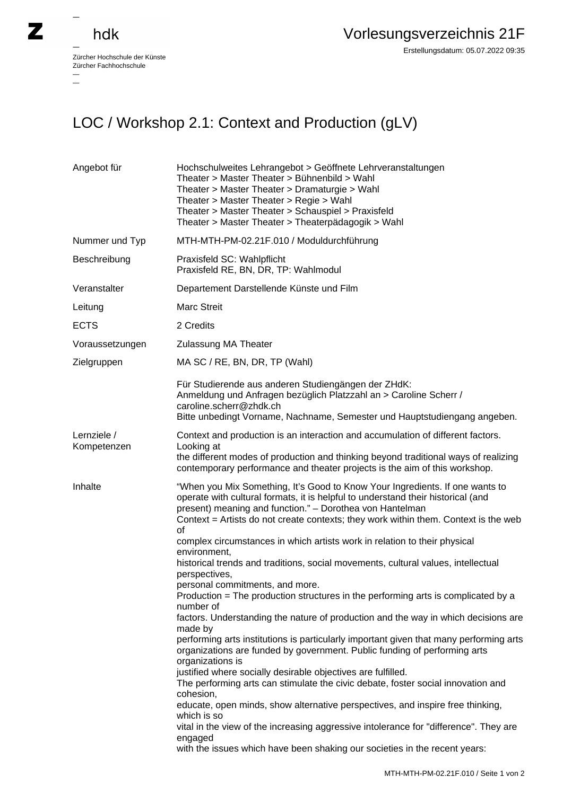## hdk

 $\overline{a}$ 

Zürcher Hochschule der Künste Zürcher Fachhochschule —

## LOC / Workshop 2.1: Context and Production (gLV)

| Angebot für                | Hochschulweites Lehrangebot > Geöffnete Lehrveranstaltungen<br>Theater > Master Theater > Bühnenbild > Wahl<br>Theater > Master Theater > Dramaturgie > Wahl<br>Theater > Master Theater > Regie > Wahl<br>Theater > Master Theater > Schauspiel > Praxisfeld<br>Theater > Master Theater > Theaterpädagogik > Wahl                                                                                                                                                                                                                                                                                                                                                                                                                                                                                                                                                                                                                                                                                                                                                                                                                                                                                                                                                                                                                                                                                               |
|----------------------------|-------------------------------------------------------------------------------------------------------------------------------------------------------------------------------------------------------------------------------------------------------------------------------------------------------------------------------------------------------------------------------------------------------------------------------------------------------------------------------------------------------------------------------------------------------------------------------------------------------------------------------------------------------------------------------------------------------------------------------------------------------------------------------------------------------------------------------------------------------------------------------------------------------------------------------------------------------------------------------------------------------------------------------------------------------------------------------------------------------------------------------------------------------------------------------------------------------------------------------------------------------------------------------------------------------------------------------------------------------------------------------------------------------------------|
| Nummer und Typ             | MTH-MTH-PM-02.21F.010 / Moduldurchführung                                                                                                                                                                                                                                                                                                                                                                                                                                                                                                                                                                                                                                                                                                                                                                                                                                                                                                                                                                                                                                                                                                                                                                                                                                                                                                                                                                         |
| Beschreibung               | Praxisfeld SC: Wahlpflicht<br>Praxisfeld RE, BN, DR, TP: Wahlmodul                                                                                                                                                                                                                                                                                                                                                                                                                                                                                                                                                                                                                                                                                                                                                                                                                                                                                                                                                                                                                                                                                                                                                                                                                                                                                                                                                |
| Veranstalter               | Departement Darstellende Künste und Film                                                                                                                                                                                                                                                                                                                                                                                                                                                                                                                                                                                                                                                                                                                                                                                                                                                                                                                                                                                                                                                                                                                                                                                                                                                                                                                                                                          |
| Leitung                    | <b>Marc Streit</b>                                                                                                                                                                                                                                                                                                                                                                                                                                                                                                                                                                                                                                                                                                                                                                                                                                                                                                                                                                                                                                                                                                                                                                                                                                                                                                                                                                                                |
| <b>ECTS</b>                | 2 Credits                                                                                                                                                                                                                                                                                                                                                                                                                                                                                                                                                                                                                                                                                                                                                                                                                                                                                                                                                                                                                                                                                                                                                                                                                                                                                                                                                                                                         |
| Voraussetzungen            | <b>Zulassung MA Theater</b>                                                                                                                                                                                                                                                                                                                                                                                                                                                                                                                                                                                                                                                                                                                                                                                                                                                                                                                                                                                                                                                                                                                                                                                                                                                                                                                                                                                       |
| Zielgruppen                | MA SC / RE, BN, DR, TP (Wahl)                                                                                                                                                                                                                                                                                                                                                                                                                                                                                                                                                                                                                                                                                                                                                                                                                                                                                                                                                                                                                                                                                                                                                                                                                                                                                                                                                                                     |
|                            | Für Studierende aus anderen Studiengängen der ZHdK:<br>Anmeldung und Anfragen bezüglich Platzzahl an > Caroline Scherr /<br>caroline.scherr@zhdk.ch<br>Bitte unbedingt Vorname, Nachname, Semester und Hauptstudiengang angeben.                                                                                                                                                                                                                                                                                                                                                                                                                                                                                                                                                                                                                                                                                                                                                                                                                                                                                                                                                                                                                                                                                                                                                                                  |
| Lernziele /<br>Kompetenzen | Context and production is an interaction and accumulation of different factors.<br>Looking at<br>the different modes of production and thinking beyond traditional ways of realizing<br>contemporary performance and theater projects is the aim of this workshop.                                                                                                                                                                                                                                                                                                                                                                                                                                                                                                                                                                                                                                                                                                                                                                                                                                                                                                                                                                                                                                                                                                                                                |
| Inhalte                    | "When you Mix Something, It's Good to Know Your Ingredients. If one wants to<br>operate with cultural formats, it is helpful to understand their historical (and<br>present) meaning and function." - Dorothea von Hantelman<br>Context = Artists do not create contexts; they work within them. Context is the web<br>οf<br>complex circumstances in which artists work in relation to their physical<br>environment,<br>historical trends and traditions, social movements, cultural values, intellectual<br>perspectives,<br>personal commitments, and more.<br>Production = The production structures in the performing arts is complicated by a<br>number of<br>factors. Understanding the nature of production and the way in which decisions are<br>made by<br>performing arts institutions is particularly important given that many performing arts<br>organizations are funded by government. Public funding of performing arts<br>organizations is<br>justified where socially desirable objectives are fulfilled.<br>The performing arts can stimulate the civic debate, foster social innovation and<br>cohesion,<br>educate, open minds, show alternative perspectives, and inspire free thinking,<br>which is so<br>vital in the view of the increasing aggressive intolerance for "difference". They are<br>engaged<br>with the issues which have been shaking our societies in the recent years: |